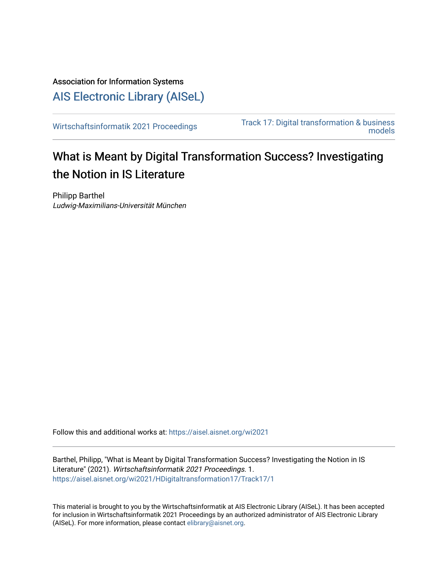# Association for Information Systems [AIS Electronic Library \(AISeL\)](https://aisel.aisnet.org/)

[Wirtschaftsinformatik 2021 Proceedings](https://aisel.aisnet.org/wi2021) Track 17: Digital transformation & business [models](https://aisel.aisnet.org/wi2021/HDigitaltransformation17) 

# What is Meant by Digital Transformation Success? Investigating the Notion in IS Literature

Philipp Barthel Ludwig-Maximilians-Universität München

Follow this and additional works at: [https://aisel.aisnet.org/wi2021](https://aisel.aisnet.org/wi2021?utm_source=aisel.aisnet.org%2Fwi2021%2FHDigitaltransformation17%2FTrack17%2F1&utm_medium=PDF&utm_campaign=PDFCoverPages) 

Barthel, Philipp, "What is Meant by Digital Transformation Success? Investigating the Notion in IS Literature" (2021). Wirtschaftsinformatik 2021 Proceedings. 1. [https://aisel.aisnet.org/wi2021/HDigitaltransformation17/Track17/1](https://aisel.aisnet.org/wi2021/HDigitaltransformation17/Track17/1?utm_source=aisel.aisnet.org%2Fwi2021%2FHDigitaltransformation17%2FTrack17%2F1&utm_medium=PDF&utm_campaign=PDFCoverPages)

This material is brought to you by the Wirtschaftsinformatik at AIS Electronic Library (AISeL). It has been accepted for inclusion in Wirtschaftsinformatik 2021 Proceedings by an authorized administrator of AIS Electronic Library (AISeL). For more information, please contact [elibrary@aisnet.org](mailto:elibrary@aisnet.org%3E).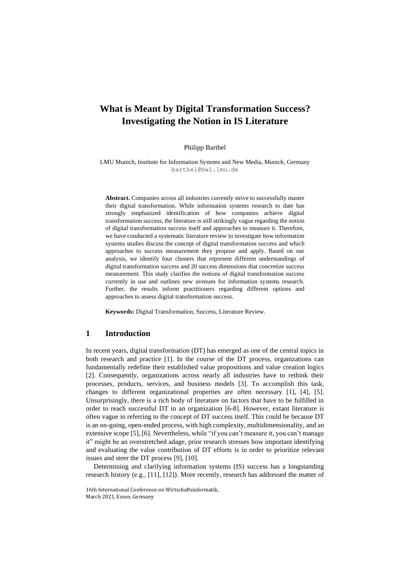## **What is Meant by Digital Transformation Success? Investigating the Notion in IS Literature**

#### Philipp Barthel

LMU Munich, Institute for Information Systems and New Media, Munich, Germany barthel@bwl.lmu.de

**Abstract.** Companies across all industries currently strive to successfully master their digital transformation. While information systems research to date has strongly emphasized identification of how companies achieve digital transformation success, the literature is still strikingly vague regarding the notion of digital transformation success itself and approaches to measure it. Therefore, we have conducted a systematic literature review to investigate how information systems studies discuss the concept of digital transformation success and which approaches to success measurement they propose and apply. Based on our analysis, we identify four clusters that represent different understandings of digital transformation success and 20 success dimensions that concretize success measurement. This study clarifies the notions of digital transformation success currently in use and outlines new avenues for information systems research. Further, the results inform practitioners regarding different options and approaches to assess digital transformation success.

**Keywords:** Digital Transformation, Success, Literature Review.

#### **1 Introduction**

In recent years, digital transformation (DT) has emerged as one of the central topics in both research and practice [1]. In the course of the DT process, organizations can fundamentally redefine their established value propositions and value creation logics [2]. Consequently, organizations across nearly all industries have to rethink their processes, products, services, and business models [3]. To accomplish this task, changes to different organizational properties are often necessary [1], [4], [5]. Unsurprisingly, there is a rich body of literature on factors that have to be fulfilled in order to reach successful DT in an organization [6-8]. However, extant literature is often vague in referring to the concept of DT success itself. This could be because DT is an on-going, open-ended process, with high complexity, multidimensionality, and an extensive scope [5], [6]. Nevertheless, while "if you can't measure it, you can't manage it" might be an overstretched adage, prior research stresses how important identifying and evaluating the value contribution of DT efforts is in order to prioritize relevant issues and steer the DT process [9], [10].

Determining and clarifying information systems (IS) success has a longstanding research history (e.g., [11], [12]). More recently, research has addressed the matter of

<sup>16</sup>th International Conference on Wirtschaftsinformatik, March 2021, Essen, Germany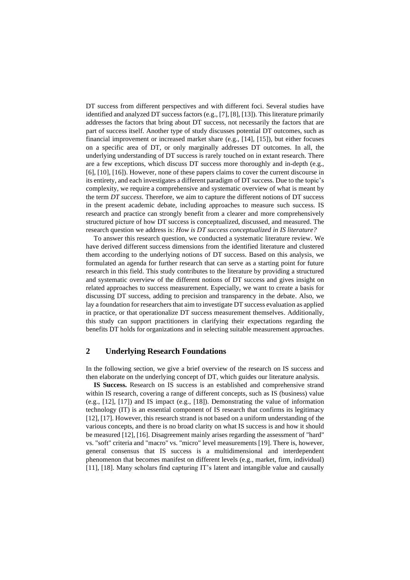DT success from different perspectives and with different foci. Several studies have identified and analyzed DT success factors (e.g., [7], [8], [13]). This literature primarily addresses the factors that bring about DT success, not necessarily the factors that are part of success itself. Another type of study discusses potential DT outcomes, such as financial improvement or increased market share (e.g., [14], [15]), but either focuses on a specific area of DT, or only marginally addresses DT outcomes. In all, the underlying understanding of DT success is rarely touched on in extant research. There are a few exceptions, which discuss DT success more thoroughly and in-depth (e.g., [6], [10], [16]). However, none of these papers claims to cover the current discourse in its entirety, and each investigates a different paradigm of DT success. Due to the topic's complexity, we require a comprehensive and systematic overview of what is meant by the term *DT success*. Therefore, we aim to capture the different notions of DT success in the present academic debate, including approaches to measure such success. IS research and practice can strongly benefit from a clearer and more comprehensively structured picture of how DT success is conceptualized, discussed, and measured. The research question we address is: *How is DT success conceptualized in IS literature?*

To answer this research question, we conducted a systematic literature review. We have derived different success dimensions from the identified literature and clustered them according to the underlying notions of DT success. Based on this analysis, we formulated an agenda for further research that can serve as a starting point for future research in this field. This study contributes to the literature by providing a structured and systematic overview of the different notions of DT success and gives insight on related approaches to success measurement. Especially, we want to create a basis for discussing DT success, adding to precision and transparency in the debate. Also, we lay a foundation for researchers that aim to investigate DT success evaluation as applied in practice, or that operationalize DT success measurement themselves. Additionally, this study can support practitioners in clarifying their expectations regarding the benefits DT holds for organizations and in selecting suitable measurement approaches.

## **2 Underlying Research Foundations**

In the following section, we give a brief overview of the research on IS success and then elaborate on the underlying concept of DT, which guides our literature analysis.

**IS Success.** Research on IS success is an established and comprehensive strand within IS research, covering a range of different concepts, such as IS (business) value (e.g., [12], [17]) and IS impact (e.g., [18]). Demonstrating the value of information technology (IT) is an essential component of IS research that confirms its legitimacy [12], [17]. However, this research strand is not based on a uniform understanding of the various concepts, and there is no broad clarity on what IS success is and how it should be measured [12], [16]. Disagreement mainly arises regarding the assessment of "hard" vs. "soft" criteria and "macro" vs. "micro" level measurements [19]. There is, however, general consensus that IS success is a multidimensional and interdependent phenomenon that becomes manifest on different levels (e.g., market, firm, individual) [11], [18]. Many scholars find capturing IT's latent and intangible value and causally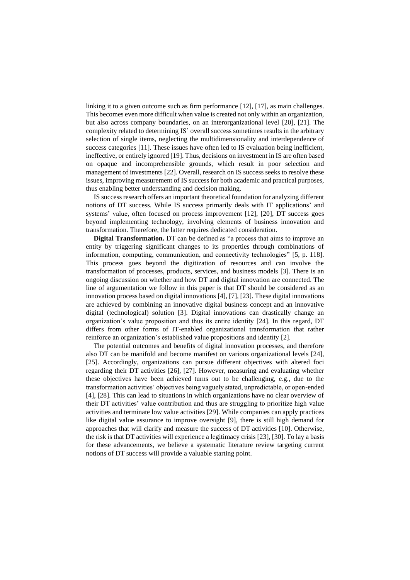linking it to a given outcome such as firm performance [12], [17], as main challenges. This becomes even more difficult when value is created not only within an organization, but also across company boundaries, on an interorganizational level [20], [21]. The complexity related to determining IS' overall success sometimes results in the arbitrary selection of single items, neglecting the multidimensionality and interdependence of success categories [11]. These issues have often led to IS evaluation being inefficient, ineffective, or entirely ignored [19]. Thus, decisions on investment in IS are often based on opaque and incomprehensible grounds, which result in poor selection and management of investments [22]. Overall, research on IS success seeks to resolve these issues, improving measurement of IS success for both academic and practical purposes, thus enabling better understanding and decision making.

IS success research offers an important theoretical foundation for analyzing different notions of DT success. While IS success primarily deals with IT applications' and systems' value, often focused on process improvement [12], [20], DT success goes beyond implementing technology, involving elements of business innovation and transformation. Therefore, the latter requires dedicated consideration.

**Digital Transformation.** DT can be defined as "a process that aims to improve an entity by triggering significant changes to its properties through combinations of information, computing, communication, and connectivity technologies" [5, p. 118]. This process goes beyond the digitization of resources and can involve the transformation of processes, products, services, and business models [3]. There is an ongoing discussion on whether and how DT and digital innovation are connected. The line of argumentation we follow in this paper is that DT should be considered as an innovation process based on digital innovations [4], [7], [23]. These digital innovations are achieved by combining an innovative digital business concept and an innovative digital (technological) solution [3]. Digital innovations can drastically change an organization's value proposition and thus its entire identity [24]. In this regard, DT differs from other forms of IT-enabled organizational transformation that rather reinforce an organization's established value propositions and identity [2].

The potential outcomes and benefits of digital innovation processes, and therefore also DT can be manifold and become manifest on various organizational levels [24], [25]. Accordingly, organizations can pursue different objectives with altered foci regarding their DT activities [26], [27]. However, measuring and evaluating whether these objectives have been achieved turns out to be challenging, e.g., due to the transformation activities' objectives being vaguely stated, unpredictable, or open-ended [4], [28]. This can lead to situations in which organizations have no clear overview of their DT activities' value contribution and thus are struggling to prioritize high value activities and terminate low value activities [29]. While companies can apply practices like digital value assurance to improve oversight [9], there is still high demand for approaches that will clarify and measure the success of DT activities [10]. Otherwise, the risk is that DT activities will experience a legitimacy crisis [23], [30]. To lay a basis for these advancements, we believe a systematic literature review targeting current notions of DT success will provide a valuable starting point.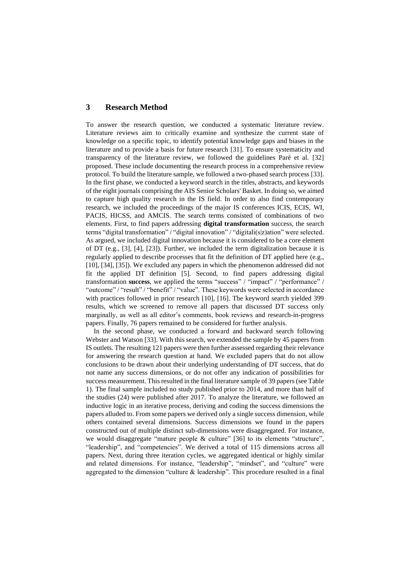## **3 Research Method**

To answer the research question, we conducted a systematic literature review. Literature reviews aim to critically examine and synthesize the current state of knowledge on a specific topic, to identify potential knowledge gaps and biases in the literature and to provide a basis for future research [31]. To ensure systematicity and transparency of the literature review, we followed the guidelines Paré et al. [32] proposed. These include documenting the research process in a comprehensive review protocol. To build the literature sample, we followed a two-phased search process [33]. In the first phase, we conducted a keyword search in the titles, abstracts, and keywords of the eight journals comprising the AIS Senior Scholars' Basket. In doing so, we aimed to capture high quality research in the IS field. In order to also find contemporary research, we included the proceedings of the major IS conferences ICIS, ECIS, WI, PACIS, HICSS, and AMCIS. The search terms consisted of combinations of two elements. First, to find papers addressing **digital transformation** success, the search terms "digital transformation" / "digital innovation" / "digitali(s|z)ation" were selected. As argued, we included digital innovation because it is considered to be a core element of DT (e.g., [3], [4], [23]). Further, we included the term digitalization because it is regularly applied to describe processes that fit the definition of DT applied here (e.g., [10], [34], [35]). We excluded any papers in which the phenomenon addressed did not fit the applied DT definition [5]. Second, to find papers addressing digital transformation **success**, we applied the terms "success" / "impact" / "performance" / "outcome" / "result" / "benefit" / "value". These keywords were selected in accordance with practices followed in prior research [10], [16]. The keyword search yielded 399 results, which we screened to remove all papers that discussed DT success only marginally, as well as all editor's comments, book reviews and research-in-progress papers. Finally, 76 papers remained to be considered for further analysis.

In the second phase, we conducted a forward and backward search following Webster and Watson [33]. With this search, we extended the sample by 45 papers from IS outlets. The resulting 121 papers were then further assessed regarding their relevance for answering the research question at hand. We excluded papers that do not allow conclusions to be drawn about their underlying understanding of DT success, that do not name any success dimensions, or do not offer any indication of possibilities for success measurement. This resulted in the final literature sample of 39 papers (see Table 1). The final sample included no study published prior to 2014, and more than half of the studies (24) were published after 2017. To analyze the literature, we followed an inductive logic in an iterative process, deriving and coding the success dimensions the papers alluded to. From some papers we derived only a single success dimension, while others contained several dimensions. Success dimensions we found in the papers constructed out of multiple distinct sub-dimensions were disaggregated. For instance, we would disaggregate "mature people & culture" [36] to its elements "structure", "leadership", and "competencies". We derived a total of 115 dimensions across all papers. Next, during three iteration cycles, we aggregated identical or highly similar and related dimensions. For instance, "leadership", "mindset", and "culture" were aggregated to the dimension "culture & leadership". This procedure resulted in a final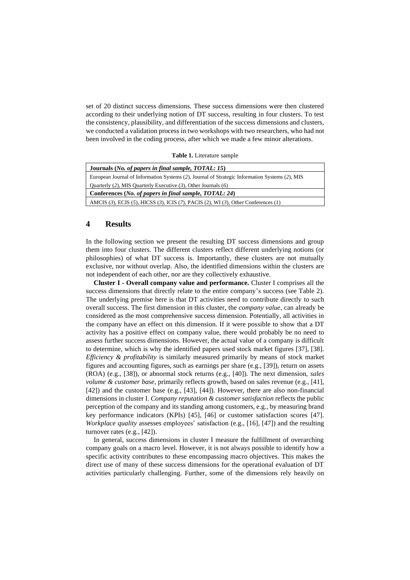set of 20 distinct success dimensions. These success dimensions were then clustered according to their underlying notion of DT success, resulting in four clusters. To test the consistency, plausibility, and differentiation of the success dimensions and clusters, we conducted a validation process in two workshops with two researchers, who had not been involved in the coding process, after which we made a few minor alterations.

**Table 1.** Literature sample

| Journals (No. of papers in final sample, TOTAL: 15)                                            |  |  |  |
|------------------------------------------------------------------------------------------------|--|--|--|
| European Journal of Information Systems (2), Journal of Strategic Information Systems (2), MIS |  |  |  |
| Quarterly (2), MIS Quarterly Executive (3), Other Journals (6)                                 |  |  |  |
| Conferences ( <i>No. of papers in final sample, TOTAL</i> : 24)                                |  |  |  |
| AMCIS (3), ECIS (5), HICSS (3), ICIS (7), PACIS (2), WI (3), Other Conferences (1)             |  |  |  |

## **4 Results**

In the following section we present the resulting DT success dimensions and group them into four clusters. The different clusters reflect different underlying notions (or philosophies) of what DT success is. Importantly, these clusters are not mutually exclusive, nor without overlap. Also, the identified dimensions within the clusters are not independent of each other, nor are they collectively exhaustive.

**Cluster I - Overall company value and performance.** Cluster I comprises all the success dimensions that directly relate to the entire company's success (see Table 2). The underlying premise here is that DT activities need to contribute directly to such overall success. The first dimension in this cluster, the *company value*, can already be considered as the most comprehensive success dimension. Potentially, all activities in the company have an effect on this dimension. If it were possible to show that a DT activity has a positive effect on company value, there would probably be no need to assess further success dimensions. However, the actual value of a company is difficult to determine, which is why the identified papers used stock market figures [37], [38]. *Efficiency & profitability* is similarly measured primarily by means of stock market figures and accounting figures, such as earnings per share (e.g., [39]), return on assets (ROA) (e.g., [38]), or abnormal stock returns (e.g., [40]). The next dimension, *sales volume & customer base*, primarily reflects growth, based on sales revenue (e.g., [41], [42]) and the customer base (e.g., [43], [44]). However, there are also non-financial dimensions in cluster I. *Company reputation & customer satisfaction* reflects the public perception of the company and its standing among customers, e.g., by measuring brand key performance indicators (KPIs) [45], [46] or customer satisfaction scores [47]. *Workplace quality* assesses employees' satisfaction (e.g., [16], [47]) and the resulting turnover rates (e.g., [42]).

In general, success dimensions in cluster I measure the fulfillment of overarching company goals on a macro level. However, it is not always possible to identify how a specific activity contributes to these encompassing macro objectives. This makes the direct use of many of these success dimensions for the operational evaluation of DT activities particularly challenging. Further, some of the dimensions rely heavily on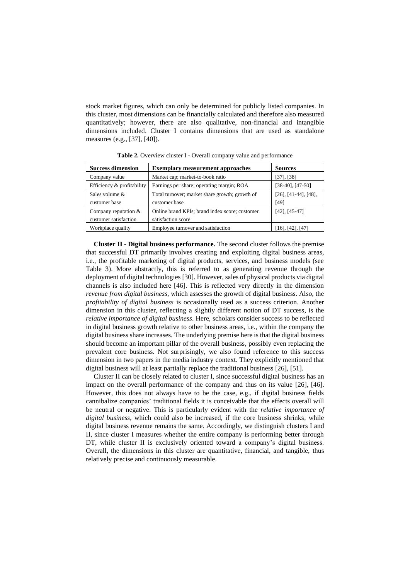stock market figures, which can only be determined for publicly listed companies. In this cluster, most dimensions can be financially calculated and therefore also measured quantitatively; however, there are also qualitative, non-financial and intangible dimensions included. Cluster I contains dimensions that are used as standalone measures (e.g., [37], [40]).

| <b>Success dimension</b>                        | <b>Exemplary measurement approaches</b>                              | <b>Sources</b>                        |
|-------------------------------------------------|----------------------------------------------------------------------|---------------------------------------|
| Company value                                   | Market cap; market-to-book ratio                                     | $[37]$ , $[38]$                       |
| Efficiency & profitability                      | Earnings per share; operating margin; ROA                            | $[38-40]$ , $[47-50]$                 |
| Sales volume &<br>customer base                 | Total turnover; market share growth; growth of<br>customer base      | $[26]$ , $[41-44]$ , $[48]$ ,<br>[49] |
| Company reputation $&$<br>customer satisfaction | Online brand KPIs; brand index score; customer<br>satisfaction score | $[42]$ , $[45-47]$                    |
| Workplace quality                               | Employee turnover and satisfaction                                   | $[16]$ , $[42]$ , $[47]$              |

**Table 2.** Overview cluster I - Overall company value and performance

**Cluster II - Digital business performance.** The second cluster follows the premise that successful DT primarily involves creating and exploiting digital business areas, i.e., the profitable marketing of digital products, services, and business models (see Table 3). More abstractly, this is referred to as generating revenue through the deployment of digital technologies [30]. However, sales of physical products via digital channels is also included here [46]. This is reflected very directly in the dimension *revenue from digital business*, which assesses the growth of digital business. Also, the *profitability of digital business* is occasionally used as a success criterion. Another dimension in this cluster, reflecting a slightly different notion of DT success, is the *relative importance of digital business*. Here, scholars consider success to be reflected in digital business growth relative to other business areas, i.e., within the company the digital business share increases. The underlying premise here is that the digital business should become an important pillar of the overall business, possibly even replacing the prevalent core business. Not surprisingly, we also found reference to this success dimension in two papers in the media industry context. They explicitly mentioned that digital business will at least partially replace the traditional business [26], [51].

Cluster II can be closely related to cluster I, since successful digital business has an impact on the overall performance of the company and thus on its value [26], [46]. However, this does not always have to be the case, e.g., if digital business fields cannibalize companies' traditional fields it is conceivable that the effects overall will be neutral or negative. This is particularly evident with the *relative importance of digital business*, which could also be increased, if the core business shrinks, while digital business revenue remains the same. Accordingly, we distinguish clusters I and II, since cluster I measures whether the entire company is performing better through DT, while cluster II is exclusively oriented toward a company's digital business. Overall, the dimensions in this cluster are quantitative, financial, and tangible, thus relatively precise and continuously measurable.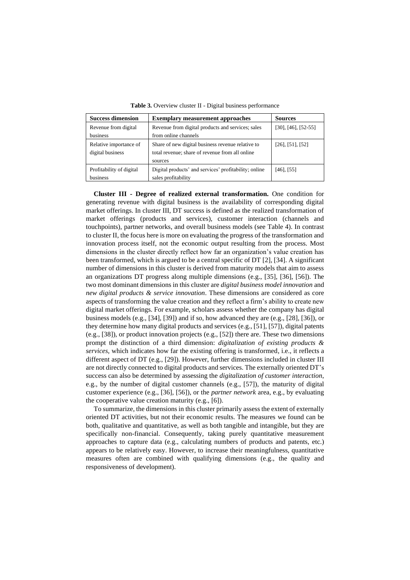| <b>Success dimension</b> | <b>Exemplary measurement approaches</b>               | <b>Sources</b>              |
|--------------------------|-------------------------------------------------------|-----------------------------|
| Revenue from digital     | Revenue from digital products and services; sales     | $[30]$ , $[46]$ , $[52-55]$ |
| business                 | from online channels                                  |                             |
| Relative importance of   | Share of new digital business revenue relative to     | $[26]$ , [51], [52]         |
| digital business         | total revenue; share of revenue from all online       |                             |
|                          | sources                                               |                             |
| Profitability of digital | Digital products' and services' profitability; online | $[46]$ , [55]               |
| business                 | sales profitability                                   |                             |

**Table 3.** Overview cluster II - Digital business performance

**Cluster III - Degree of realized external transformation.** One condition for generating revenue with digital business is the availability of corresponding digital market offerings. In cluster III, DT success is defined as the realized transformation of market offerings (products and services), customer interaction (channels and touchpoints), partner networks, and overall business models (see Table 4). In contrast to cluster II, the focus here is more on evaluating the progress of the transformation and innovation process itself, not the economic output resulting from the process. Most dimensions in the cluster directly reflect how far an organization's value creation has been transformed, which is argued to be a central specific of DT [2], [34]. A significant number of dimensions in this cluster is derived from maturity models that aim to assess an organizations DT progress along multiple dimensions (e.g., [35], [36], [56]). The two most dominant dimensions in this cluster are *digital business model innovation* and *new digital products & service innovation*. These dimensions are considered as core aspects of transforming the value creation and they reflect a firm's ability to create new digital market offerings. For example, scholars assess whether the company has digital business models (e.g.,  $[34]$ ,  $[39]$ ) and if so, how advanced they are (e.g.,  $[28]$ ,  $[36]$ ), or they determine how many digital products and services (e.g., [51], [57]), digital patents (e.g., [38]), or product innovation projects (e.g., [52]) there are. These two dimensions prompt the distinction of a third dimension: *digitalization of existing products & services*, which indicates how far the existing offering is transformed, i.e., it reflects a different aspect of DT (e.g., [29]). However, further dimensions included in cluster III are not directly connected to digital products and services. The externally oriented DT's success can also be determined by assessing the *digitalization of customer interaction*, e.g., by the number of digital customer channels (e.g., [57]), the maturity of digital customer experience (e.g., [36], [56]), or the *partner network* area, e.g., by evaluating the cooperative value creation maturity (e.g., [6]).

To summarize, the dimensions in this cluster primarily assess the extent of externally oriented DT activities, but not their economic results. The measures we found can be both, qualitative and quantitative, as well as both tangible and intangible, but they are specifically non-financial. Consequently, taking purely quantitative measurement approaches to capture data (e.g., calculating numbers of products and patents, etc.) appears to be relatively easy. However, to increase their meaningfulness, quantitative measures often are combined with qualifying dimensions (e.g., the quality and responsiveness of development).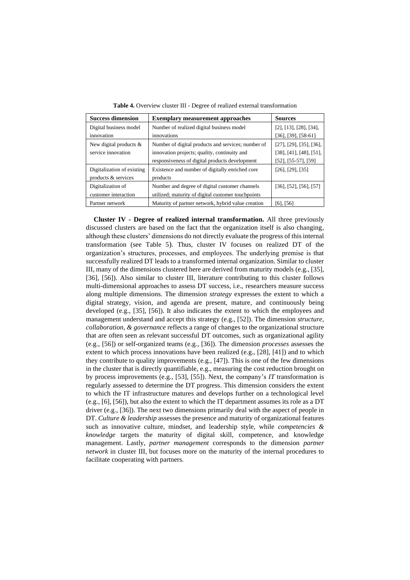| <b>Success dimension</b>   | <b>Exemplary measurement approaches</b>            | <b>Sources</b>                      |
|----------------------------|----------------------------------------------------|-------------------------------------|
| Digital business model     | Number of realized digital business model          | $[2]$ , [13], [28], [34],           |
| innovation                 | innovations                                        | $[36]$ , $[39]$ , $[58-61]$         |
| New digital products &     | Number of digital products and services; number of | $[27]$ , $[29]$ , $[35]$ , $[36]$ , |
| service innovation         | innovation projects; quality, continuity and       | $[38]$ , [41], [48], [51],          |
|                            | responsiveness of digital products development     | $[52]$ , $[55-57]$ , $[59]$         |
| Digitalization of existing | Existence and number of digitally enriched core    | $[26]$ , $[29]$ , $[35]$            |
| products & services        | products                                           |                                     |
| Digitalization of          | Number and degree of digital customer channels     | $[36]$ , $[52]$ , $[56]$ , $[57]$   |
| customer interaction       | utilized; maturity of digital customer touchpoints |                                     |
| Partner network            | Maturity of partner network, hybrid value creation | [6], [56]                           |

**Table 4.** Overview cluster III - Degree of realized external transformation

**Cluster IV - Degree of realized internal transformation.** All three previously discussed clusters are based on the fact that the organization itself is also changing, although these clusters' dimensions do not directly evaluate the progress of this internal transformation (see Table 5). Thus, cluster IV focuses on realized DT of the organization's structures, processes, and employees. The underlying premise is that successfully realized DT leads to a transformed internal organization. Similar to cluster III, many of the dimensions clustered here are derived from maturity models (e.g., [35], [36], [56]). Also similar to cluster III, literature contributing to this cluster follows multi-dimensional approaches to assess DT success, i.e., researchers measure success along multiple dimensions. The dimension *strategy* expresses the extent to which a digital strategy, vision, and agenda are present, mature, and continuously being developed (e.g., [35], [56]). It also indicates the extent to which the employees and management understand and accept this strategy (e.g., [52]). The dimension *structure, collaboration, & governance* reflects a range of changes to the organizational structure that are often seen as relevant successful DT outcomes, such as organizational agility (e.g., [56]) or self-organized teams (e.g., [36]). The dimension *processes* assesses the extent to which process innovations have been realized (e.g., [28], [41]) and to which they contribute to quality improvements (e.g., [47]). This is one of the few dimensions in the cluster that is directly quantifiable, e.g., measuring the cost reduction brought on by process improvements (e.g., [53], [55]). Next, the company's *IT* transformation is regularly assessed to determine the DT progress. This dimension considers the extent to which the IT infrastructure matures and develops further on a technological level (e.g., [6], [56]), but also the extent to which the IT department assumes its role as a DT driver (e.g., [36]). The next two dimensions primarily deal with the aspect of people in DT. *Culture & leadership* assesses the presence and maturity of organizational features such as innovative culture, mindset, and leadership style, while *competencies & knowledge* targets the maturity of digital skill, competence, and knowledge management. Lastly, *partner management* corresponds to the dimension *partner network* in cluster III, but focuses more on the maturity of the internal procedures to facilitate cooperating with partners.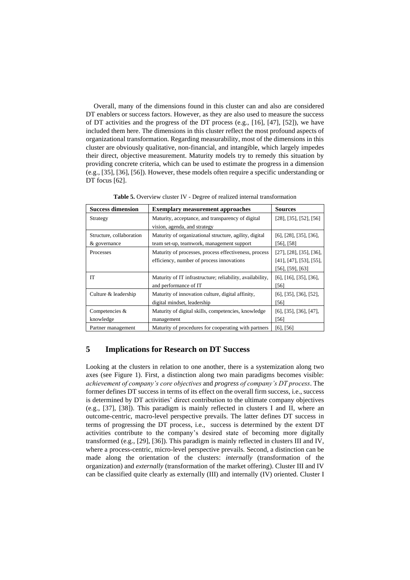Overall, many of the dimensions found in this cluster can and also are considered DT enablers or success factors. However, as they are also used to measure the success of DT activities and the progress of the DT process (e.g., [16], [47], [52]), we have included them here. The dimensions in this cluster reflect the most profound aspects of organizational transformation. Regarding measurability, most of the dimensions in this cluster are obviously qualitative, non-financial, and intangible, which largely impedes their direct, objective measurement. Maturity models try to remedy this situation by providing concrete criteria, which can be used to estimate the progress in a dimension (e.g., [35], [36], [56]). However, these models often require a specific understanding or DT focus [62].

| <b>Success dimension</b> | <b>Exemplary measurement approaches</b>                   | <b>Sources</b>                      |
|--------------------------|-----------------------------------------------------------|-------------------------------------|
| Strategy                 | Maturity, acceptance, and transparency of digital         | $[28]$ , [35], [52], [56]           |
|                          | vision, agenda, and strategy                              |                                     |
| Structure, collaboration | Maturity of organizational structure, agility, digital    | $[6]$ , $[28]$ , $[35]$ , $[36]$ ,  |
| & governance             | team set-up, teamwork, management support                 | [56], [58]                          |
| Processes                | Maturity of processes, process effectiveness, process     | [27], [28], [35], [36],             |
|                          | efficiency, number of process innovations                 | $[41]$ , $[47]$ , $[53]$ , $[55]$ , |
|                          |                                                           | [56], [59], [63]                    |
| <b>IT</b>                | Maturity of IT infrastructure; reliability, availability, | [6], [16], [35], [36],              |
|                          | and performance of IT                                     | [56]                                |
| Culture & leadership     | Maturity of innovation culture, digital affinity,         | $[6]$ , [35], [36], [52],           |
|                          | digital mindset, leadership                               | [56]                                |
| Competencies &           | Maturity of digital skills, competencies, knowledge       | $[6]$ , $[35]$ , $[36]$ , $[47]$ ,  |
| knowledge                | management                                                | [56]                                |
| Partner management       | Maturity of procedures for cooperating with partners      | [6], [56]                           |

**Table 5.** Overview cluster IV - Degree of realized internal transformation

#### **5 Implications for Research on DT Success**

Looking at the clusters in relation to one another, there is a systemization along two axes (see Figure 1). First, a distinction along two main paradigms becomes visible: *achievement of company's core objectives* and *progress of company's DT process*. The former defines DT success in terms of its effect on the overall firm success, i.e., success is determined by DT activities' direct contribution to the ultimate company objectives (e.g., [37], [38]). This paradigm is mainly reflected in clusters I and II, where an outcome-centric, macro-level perspective prevails. The latter defines DT success in terms of progressing the DT process, i.e., success is determined by the extent DT activities contribute to the company's desired state of becoming more digitally transformed (e.g., [29], [36]). This paradigm is mainly reflected in clusters III and IV, where a process-centric, micro-level perspective prevails. Second, a distinction can be made along the orientation of the clusters: *internally* (transformation of the organization) and *externally* (transformation of the market offering). Cluster III and IV can be classified quite clearly as externally (III) and internally (IV) oriented. Cluster I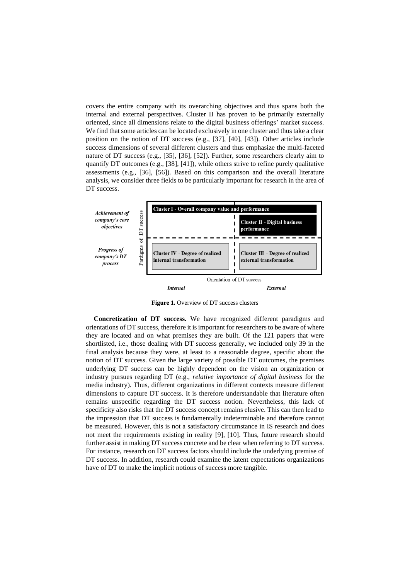covers the entire company with its overarching objectives and thus spans both the internal and external perspectives. Cluster II has proven to be primarily externally oriented, since all dimensions relate to the digital business offerings' market success. We find that some articles can be located exclusively in one cluster and thus take a clear position on the notion of DT success (e.g., [37], [40], [43]). Other articles include success dimensions of several different clusters and thus emphasize the multi-faceted nature of DT success (e.g., [35], [36], [52]). Further, some researchers clearly aim to quantify DT outcomes (e.g., [38], [41]), while others strive to refine purely qualitative assessments (e.g., [36], [56]). Based on this comparison and the overall literature analysis, we consider three fields to be particularly important for research in the area of DT success.



**Figure 1.** Overview of DT success clusters

**Concretization of DT success.** We have recognized different paradigms and orientations of DT success, therefore it is important for researchers to be aware of where they are located and on what premises they are built. Of the 121 papers that were shortlisted, i.e., those dealing with DT success generally, we included only 39 in the final analysis because they were, at least to a reasonable degree, specific about the notion of DT success. Given the large variety of possible DT outcomes, the premises underlying DT success can be highly dependent on the vision an organization or industry pursues regarding DT (e.g., *relative importance of digital business* for the media industry). Thus, different organizations in different contexts measure different dimensions to capture DT success. It is therefore understandable that literature often remains unspecific regarding the DT success notion. Nevertheless, this lack of specificity also risks that the DT success concept remains elusive. This can then lead to the impression that DT success is fundamentally indeterminable and therefore cannot be measured. However, this is not a satisfactory circumstance in IS research and does not meet the requirements existing in reality [9], [10]. Thus, future research should further assist in making DT success concrete and be clear when referring to DT success. For instance, research on DT success factors should include the underlying premise of DT success. In addition, research could examine the latent expectations organizations have of DT to make the implicit notions of success more tangible.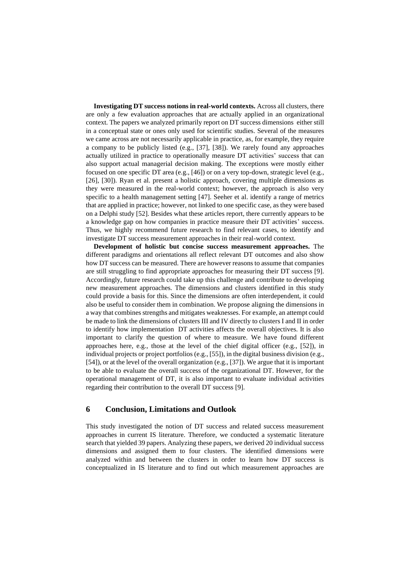**Investigating DT success notions in real-world contexts.** Across all clusters, there are only a few evaluation approaches that are actually applied in an organizational context. The papers we analyzed primarily report on DT success dimensions either still in a conceptual state or ones only used for scientific studies. Several of the measures we came across are not necessarily applicable in practice, as, for example, they require a company to be publicly listed (e.g., [37], [38]). We rarely found any approaches actually utilized in practice to operationally measure DT activities' success that can also support actual managerial decision making. The exceptions were mostly either focused on one specific DT area (e.g., [46]) or on a very top-down, strategic level (e.g., [26], [30]). Ryan et al. present a holistic approach, covering multiple dimensions as they were measured in the real-world context; however, the approach is also very specific to a health management setting [47]. Seeher et al. identify a range of metrics that are applied in practice; however, not linked to one specific case, as they were based on a Delphi study [52]. Besides what these articles report, there currently appears to be a knowledge gap on how companies in practice measure their DT activities' success. Thus, we highly recommend future research to find relevant cases, to identify and investigate DT success measurement approaches in their real-world context.

**Development of holistic but concise success measurement approaches.** The different paradigms and orientations all reflect relevant DT outcomes and also show how DT success can be measured. There are however reasons to assume that companies are still struggling to find appropriate approaches for measuring their DT success [9]. Accordingly, future research could take up this challenge and contribute to developing new measurement approaches. The dimensions and clusters identified in this study could provide a basis for this. Since the dimensions are often interdependent, it could also be useful to consider them in combination. We propose aligning the dimensions in a way that combines strengths and mitigates weaknesses. For example, an attempt could be made to link the dimensions of clusters III and IV directly to clusters I and II in order to identify how implementation DT activities affects the overall objectives. It is also important to clarify the question of where to measure. We have found different approaches here, e.g., those at the level of the chief digital officer (e.g.,  $[52]$ ), in individual projects or project portfolios (e.g., [55]), in the digital business division (e.g., [54]), or at the level of the overall organization (e.g., [37]). We argue that it is important to be able to evaluate the overall success of the organizational DT. However, for the operational management of DT, it is also important to evaluate individual activities regarding their contribution to the overall DT success [9].

#### **6 Conclusion, Limitations and Outlook**

This study investigated the notion of DT success and related success measurement approaches in current IS literature. Therefore, we conducted a systematic literature search that yielded 39 papers. Analyzing these papers, we derived 20 individual success dimensions and assigned them to four clusters. The identified dimensions were analyzed within and between the clusters in order to learn how DT success is conceptualized in IS literature and to find out which measurement approaches are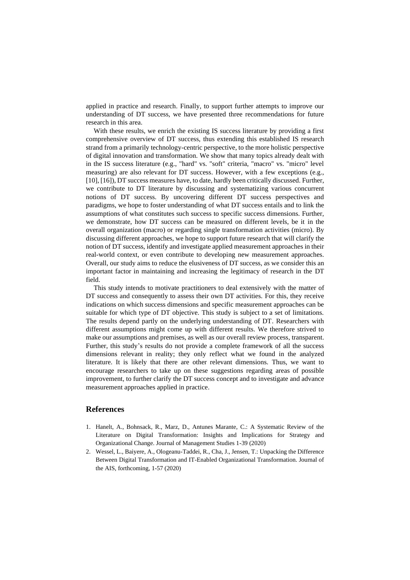applied in practice and research. Finally, to support further attempts to improve our understanding of DT success, we have presented three recommendations for future research in this area.

With these results, we enrich the existing IS success literature by providing a first comprehensive overview of DT success, thus extending this established IS research strand from a primarily technology-centric perspective, to the more holistic perspective of digital innovation and transformation. We show that many topics already dealt with in the IS success literature (e.g., "hard" vs. "soft" criteria, "macro" vs. "micro" level measuring) are also relevant for DT success. However, with a few exceptions (e.g., [10], [16]), DT success measures have, to date, hardly been critically discussed. Further, we contribute to DT literature by discussing and systematizing various concurrent notions of DT success. By uncovering different DT success perspectives and paradigms, we hope to foster understanding of what DT success entails and to link the assumptions of what constitutes such success to specific success dimensions. Further, we demonstrate, how DT success can be measured on different levels, be it in the overall organization (macro) or regarding single transformation activities (micro). By discussing different approaches, we hope to support future research that will clarify the notion of DT success, identify and investigate applied measurement approaches in their real-world context, or even contribute to developing new measurement approaches. Overall, our study aims to reduce the elusiveness of DT success, as we consider this an important factor in maintaining and increasing the legitimacy of research in the DT field.

This study intends to motivate practitioners to deal extensively with the matter of DT success and consequently to assess their own DT activities. For this, they receive indications on which success dimensions and specific measurement approaches can be suitable for which type of DT objective. This study is subject to a set of limitations. The results depend partly on the underlying understanding of DT. Researchers with different assumptions might come up with different results. We therefore strived to make our assumptions and premises, as well as our overall review process, transparent. Further, this study's results do not provide a complete framework of all the success dimensions relevant in reality; they only reflect what we found in the analyzed literature. It is likely that there are other relevant dimensions. Thus, we want to encourage researchers to take up on these suggestions regarding areas of possible improvement, to further clarify the DT success concept and to investigate and advance measurement approaches applied in practice.

#### **References**

- 1. Hanelt, A., Bohnsack, R., Marz, D., Antunes Marante, C.: A Systematic Review of the Literature on Digital Transformation: Insights and Implications for Strategy and Organizational Change. Journal of Management Studies 1-39 (2020)
- 2. Wessel, L., Baiyere, A., Ologeanu-Taddei, R., Cha, J., Jensen, T.: Unpacking the Difference Between Digital Transformation and IT-Enabled Organizational Transformation. Journal of the AIS, forthcoming, 1-57 (2020)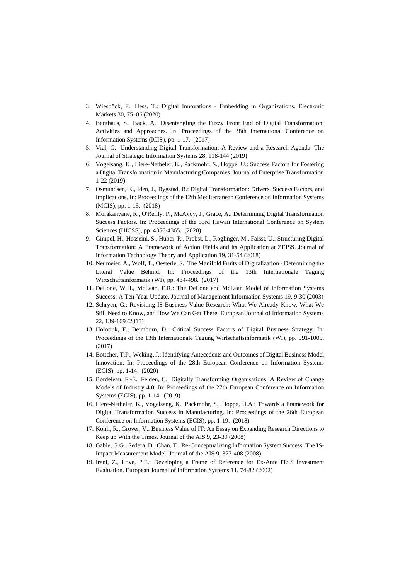- 3. Wiesböck, F., Hess, T.: Digital Innovations Embedding in Organizations. Electronic Markets 30, 75–86 (2020)
- 4. Berghaus, S., Back, A.: Disentangling the Fuzzy Front End of Digital Transformation: Activities and Approaches. In: Proceedings of the 38th International Conference on Information Systems (ICIS), pp. 1-17. (2017)
- 5. Vial, G.: Understanding Digital Transformation: A Review and a Research Agenda. The Journal of Strategic Information Systems 28, 118-144 (2019)
- 6. Vogelsang, K., Liere-Netheler, K., Packmohr, S., Hoppe, U.: Success Factors for Fostering a Digital Transformation in Manufacturing Companies. Journal of Enterprise Transformation 1-22 (2019)
- 7. Osmundsen, K., Iden, J., Bygstad, B.: Digital Transformation: Drivers, Success Factors, and Implications. In: Proceedings of the 12th Mediterranean Conference on Information Systems (MCIS), pp. 1-15. (2018)
- 8. Morakanyane, R., O'Reilly, P., McAvoy, J., Grace, A.: Determining Digital Transformation Success Factors. In: Proceedings of the 53rd Hawaii International Conference on System Sciences (HICSS), pp. 4356-4365. (2020)
- 9. Gimpel, H., Hosseini, S., Huber, R., Probst, L., Röglinger, M., Faisst, U.: Structuring Digital Transformation: A Framework of Action Fields and its Application at ZEISS. Journal of Information Technology Theory and Application 19, 31-54 (2018)
- 10. Neumeier, A., Wolf, T., Oesterle, S.: The Manifold Fruits of Digitalization Determining the Literal Value Behind. In: Proceedings of the 13th Internationale Tagung Wirtschaftsinformatik (WI), pp. 484-498. (2017)
- 11. DeLone, W.H., McLean, E.R.: The DeLone and McLean Model of Information Systems Success: A Ten-Year Update. Journal of Management Information Systems 19, 9-30 (2003)
- 12. Schryen, G.: Revisiting IS Business Value Research: What We Already Know, What We Still Need to Know, and How We Can Get There. European Journal of Information Systems 22, 139-169 (2013)
- 13. Holotiuk, F., Beimborn, D.: Critical Success Factors of Digital Business Strategy. In: Proceedings of the 13th Internationale Tagung Wirtschaftsinformatik (WI), pp. 991-1005. (2017)
- 14. Böttcher, T.P., Weking, J.: Identifying Antecedents and Outcomes of Digital Business Model Innovation. In: Proceedings of the 28th European Conference on Information Systems (ECIS), pp. 1-14. (2020)
- 15. Bordeleau, F.-È., Felden, C.: Digitally Transforming Organisations: A Review of Change Models of Industry 4.0. In: Proceedings of the 27th European Conference on Information Systems (ECIS), pp. 1-14. (2019)
- 16. Liere-Netheler, K., Vogelsang, K., Packmohr, S., Hoppe, U.A.: Towards a Framework for Digital Transformation Success in Manufacturing. In: Proceedings of the 26th European Conference on Information Systems (ECIS), pp. 1-19. (2018)
- 17. Kohli, R., Grover, V.: Business Value of IT: An Essay on Expanding Research Directions to Keep up With the Times. Journal of the AIS 9, 23-39 (2008)
- 18. Gable, G.G., Sedera, D., Chan, T.: Re-Conceptualizing Information System Success: The IS-Impact Measurement Model. Journal of the AIS 9, 377-408 (2008)
- 19. Irani, Z., Love, P.E.: Developing a Frame of Reference for Ex-Ante IT/IS Investment Evaluation. European Journal of Information Systems 11, 74-82 (2002)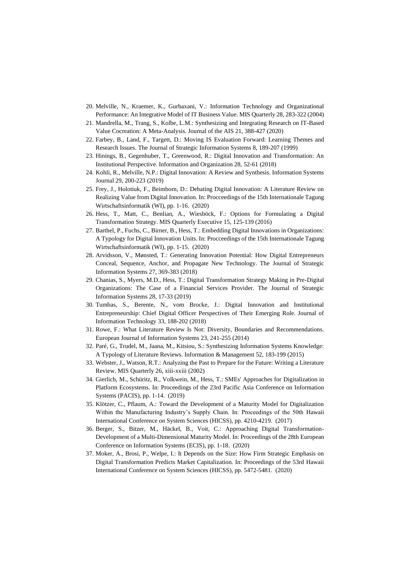- 20. Melville, N., Kraemer, K., Gurbaxani, V.: Information Technology and Organizational Performance: An Integrative Model of IT Business Value. MIS Quarterly 28, 283-322 (2004)
- 21. Mandrella, M., Trang, S., Kolbe, L.M.: Synthesizing and Integrating Research on IT-Based Value Cocreation: A Meta-Analysis. Journal of the AIS 21, 388-427 (2020)
- 22. Farbey, B., Land, F., Targett, D.: Moving IS Evaluation Forward: Learning Themes and Research Issues. The Journal of Strategic Information Systems 8, 189-207 (1999)
- 23. Hinings, B., Gegenhuber, T., Greenwood, R.: Digital Innovation and Transformation: An Institutional Perspective. Information and Organization 28, 52-61 (2018)
- 24. Kohli, R., Melville, N.P.: Digital Innovation: A Review and Synthesis. Information Systems Journal 29, 200-223 (2019)
- 25. Frey, J., Holotiuk, F., Beimborn, D.: Debating Digital Innovation: A Literature Review on Realizing Value from Digital Innovation. In: Procceedings of the 15th Internationale Tagung Wirtschaftsinformatik (WI), pp. 1-16. (2020)
- 26. Hess, T., Matt, C., Benlian, A., Wiesböck, F.: Options for Formulating a Digital Transformation Strategy. MIS Quarterly Executive 15, 125-139 (2016)
- 27. Barthel, P., Fuchs, C., Birner, B., Hess, T.: Embedding Digital Innovations in Organizations: A Typology for Digital Innovation Units. In: Procceedings of the 15th Internationale Tagung Wirtschaftsinformatik (WI), pp. 1-15. (2020)
- 28. Arvidsson, V., Mønsted, T.: Generating Innovation Potential: How Digital Entrepreneurs Conceal, Sequence, Anchor, and Propagate New Technology. The Journal of Strategic Information Systems 27, 369-383 (2018)
- 29. Chanias, S., Myers, M.D., Hess, T.: Digital Transformation Strategy Making in Pre-Digital Organizations: The Case of a Financial Services Provider. The Journal of Strategic Information Systems 28, 17-33 (2019)
- 30. Tumbas, S., Berente, N., vom Brocke, J.: Digital Innovation and Institutional Entrepreneurship: Chief Digital Officer Perspectives of Their Emerging Role. Journal of Information Technology 33, 188-202 (2018)
- 31. Rowe, F.: What Literature Review Is Not: Diversity, Boundaries and Recommendations. European Journal of Information Systems 23, 241-255 (2014)
- 32. Paré, G., Trudel, M., Jaana, M., Kitsiou, S.: Synthesizing Information Systems Knowledge: A Typology of Literature Reviews. Information & Management 52, 183-199 (2015)
- 33. Webster, J., Watson, R.T.: Analyzing the Past to Prepare for the Future: Writing a Literature Review. MIS Quarterly 26, xiii-xxiii (2002)
- 34. Gierlich, M., Schüritz, R., Volkwein, M., Hess, T.: SMEs' Approaches for Digitalization in Platform Ecosystems. In: Proceedings of the 23rd Pacific Asia Conference on Information Systems (PACIS), pp. 1-14. (2019)
- 35. Klötzer, C., Pflaum, A.: Toward the Development of a Maturity Model for Digitalization Within the Manufacturing Industry's Supply Chain. In: Proceedings of the 50th Hawaii International Conference on System Sciences (HICSS), pp. 4210-4219. (2017)
- 36. Berger, S., Bitzer, M., Häckel, B., Voit, C.: Approaching Digital Transformation-Development of a Multi-Dimensional Maturity Model. In: Proceedings of the 28th European Conference on Information Systems (ECIS), pp. 1-18. (2020)
- 37. Moker, A., Brosi, P., Welpe, I.: It Depends on the Size: How Firm Strategic Emphasis on Digital Transformation Predicts Market Capitalization. In: Proceedings of the 53rd Hawaii International Conference on System Sciences (HICSS), pp. 5472-5481. (2020)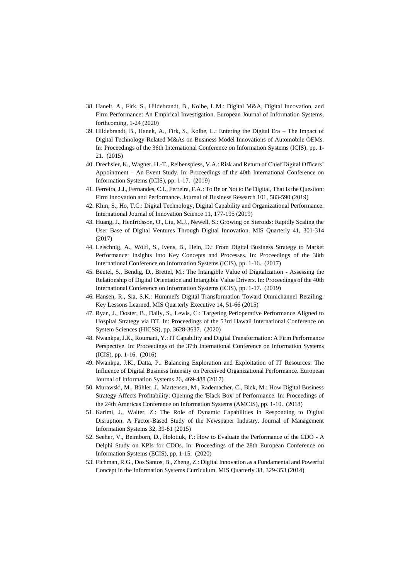- 38. Hanelt, A., Firk, S., Hildebrandt, B., Kolbe, L.M.: Digital M&A, Digital Innovation, and Firm Performance: An Empirical Investigation. European Journal of Information Systems, forthcoming, 1-24 (2020)
- 39. Hildebrandt, B., Hanelt, A., Firk, S., Kolbe, L.: Entering the Digital Era The Impact of Digital Technology-Related M&As on Business Model Innovations of Automobile OEMs. In: Proceedings of the 36th International Conference on Information Systems (ICIS), pp. 1- 21. (2015)
- 40. Drechsler, K., Wagner, H.-T., Reibenspiess, V.A.: Risk and Return of Chief Digital Officers' Appointment – An Event Study. In: Proceedings of the 40th International Conference on Information Systems (ICIS), pp. 1-17. (2019)
- 41. Ferreira, J.J., Fernandes, C.I., Ferreira, F.A.: To Be or Not to Be Digital, That Is the Question: Firm Innovation and Performance. Journal of Business Research 101, 583-590 (2019)
- 42. Khin, S., Ho, T.C.: Digital Technology, Digital Capability and Organizational Performance. International Journal of Innovation Science 11, 177-195 (2019)
- 43. Huang, J., Henfridsson, O., Liu, M.J., Newell, S.: Growing on Steroids: Rapidly Scaling the User Base of Digital Ventures Through Digital Innovation. MIS Quarterly 41, 301-314 (2017)
- 44. Leischnig, A., Wölfl, S., Ivens, B., Hein, D.: From Digital Business Strategy to Market Performance: Insights Into Key Concepts and Processes. In: Proceedings of the 38th International Conference on Information Systems (ICIS), pp. 1-16. (2017)
- 45. Beutel, S., Bendig, D., Brettel, M.: The Intangible Value of Digitalization Assessing the Relationship of Digital Orientation and Intangible Value Drivers. In: Proceedings of the 40th International Conference on Information Systems (ICIS), pp. 1-17. (2019)
- 46. Hansen, R., Sia, S.K.: Hummel's Digital Transformation Toward Omnichannel Retailing: Key Lessons Learned. MIS Quarterly Executive 14, 51-66 (2015)
- 47. Ryan, J., Doster, B., Daily, S., Lewis, C.: Targeting Perioperative Performance Aligned to Hospital Strategy via DT. In: Proceedings of the 53rd Hawaii International Conference on System Sciences (HICSS), pp. 3628-3637. (2020)
- 48. Nwankpa, J.K., Roumani, Y.: IT Capability and Digital Transformation: A Firm Performance Perspective. In: Proceedings of the 37th International Conference on Information Systems (ICIS), pp. 1-16. (2016)
- 49. Nwankpa, J.K., Datta, P.: Balancing Exploration and Exploitation of IT Resources: The Influence of Digital Business Intensity on Perceived Organizational Performance. European Journal of Information Systems 26, 469-488 (2017)
- 50. Murawski, M., Bühler, J., Martensen, M., Rademacher, C., Bick, M.: How Digital Business Strategy Affects Profitability: Opening the 'Black Box' of Performance. In: Proceedings of the 24th Americas Conference on Information Systems (AMCIS), pp. 1-10. (2018)
- 51. Karimi, J., Walter, Z.: The Role of Dynamic Capabilities in Responding to Digital Disruption: A Factor-Based Study of the Newspaper Industry. Journal of Management Information Systems 32, 39-81 (2015)
- 52. Seeher, V., Beimborn, D., Holotiuk, F.: How to Evaluate the Performance of the CDO A Delphi Study on KPIs for CDOs. In: Proceedings of the 28th European Conference on Information Systems (ECIS), pp. 1-15. (2020)
- 53. Fichman, R.G., Dos Santos, B., Zheng, Z.: Digital Innovation as a Fundamental and Powerful Concept in the Information Systems Curriculum. MIS Quarterly 38, 329-353 (2014)